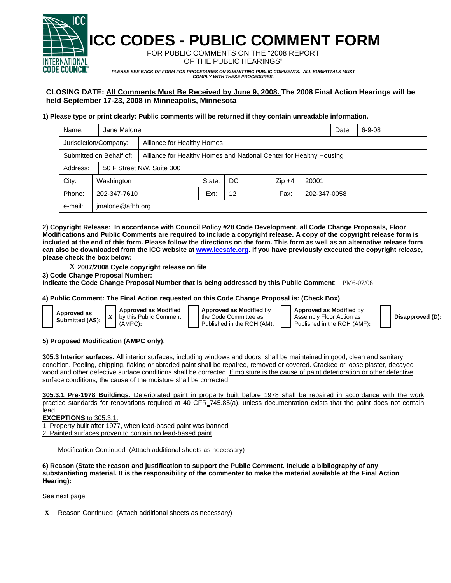

**ICC CODES - PUBLIC COMMENT FORM** 

FOR PUBLIC COMMENTS ON THE "2008 REPORT OF THE PUBLIC HEARINGS"

*PLEASE SEE BACK OF FORM FOR PROCEDURES ON SUBMITTING PUBLIC COMMENTS. ALL SUBMITTALS MUST COMPLY WITH THESE PROCEDURES.* 

# **CLOSING DATE: All Comments Must Be Received by June 9, 2008. The 2008 Final Action Hearings will be held September 17-23, 2008 in Minneapolis, Minnesota**

# **1) Please type or print clearly: Public comments will be returned if they contain unreadable information.**

| Name:                   | Jane Malone               |                                                                    |        |     |           |              | Date: | $6 - 9 - 08$ |  |
|-------------------------|---------------------------|--------------------------------------------------------------------|--------|-----|-----------|--------------|-------|--------------|--|
| Jurisdiction/Company:   |                           | Alliance for Healthy Homes                                         |        |     |           |              |       |              |  |
| Submitted on Behalf of: |                           | Alliance for Healthy Homes and National Center for Healthy Housing |        |     |           |              |       |              |  |
| Address:                | 50 F Street NW, Suite 300 |                                                                    |        |     |           |              |       |              |  |
| City:                   | Washington                |                                                                    | State: | DC. | $Zip +4:$ | 20001        |       |              |  |
| Phone:                  | 202-347-7610              |                                                                    | Ext:   | 12  | Fax:      | 202-347-0058 |       |              |  |
| e-mail:                 | jmalone@afhh.org          |                                                                    |        |     |           |              |       |              |  |

**2) Copyright Release: In accordance with Council Policy #28 Code Development, all Code Change Proposals, Floor Modifications and Public Comments are required to include a copyright release. A copy of the copyright release form is included at the end of this form. Please follow the directions on the form. This form as well as an alternative release form can also be downloaded from the ICC website at www.iccsafe.org. If you have previously executed the copyright release, please check the box below:** 

X **2007/2008 Cycle copyright release on file** 

**3) Code Change Proposal Number:** 

**Indicate the Code Change Proposal Number that is being addressed by this Public Comment**: PM6-07/08

## **4) Public Comment: The Final Action requested on this Code Change Proposal is: (Check Box)**

| Approved as<br>Submitted (AS): |  |
|--------------------------------|--|
|--------------------------------|--|

**Approved as Modified** by this Public Comment (AMPC)**:** 

**Approved as Modified** by the Code Committee as Published in the ROH (AM): **Approved as Modified** by Assembly Floor Action as Published in the ROH (AMF)**:** 

**Disapproved (D):**

#### **5) Proposed Modification (AMPC only)**:

**305.3 Interior surfaces.** All interior surfaces, including windows and doors, shall be maintained in good, clean and sanitary condition. Peeling, chipping, flaking or abraded paint shall be repaired, removed or covered. Cracked or loose plaster, decayed wood and other defective surface conditions shall be corrected. If moisture is the cause of paint deterioration or other defective surface conditions, the cause of the moisture shall be corrected.

**305.3.1 Pre-1978 Buildings**. Deteriorated paint in property built before 1978 shall be repaired in accordance with the work practice standards for renovations required at 40 CFR 745.85(a), unless documentation exists that the paint does not contain lead.

**EXCEPTIONS** to 305.3.1:

1. Property built after 1977, when lead-based paint was banned 2. Painted surfaces proven to contain no lead-based paint

Modification Continued (Attach additional sheets as necessary)

**6) Reason (State the reason and justification to support the Public Comment. Include a bibliography of any substantiating material. It is the responsibility of the commenter to make the material available at the Final Action Hearing):**

See next page.



**Reason Continued (Attach additional sheets as necessary)**